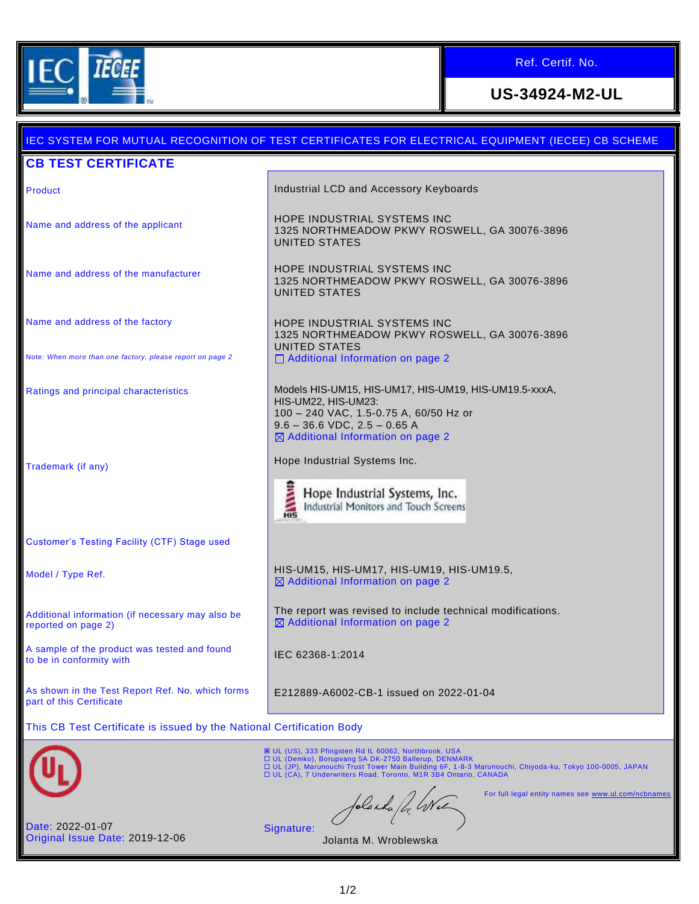

Ref. Certif. No.

# **US-34924-M2-UL**

### IEC SYSTEM FOR MUTUAL RECOGNITION OF TEST CERTIFICATES FOR ELECTRICAL EQUIPMENT (IECEE) CB SCHEME **CB TEST CERTIFICATE Product Industrial LCD and Accessory Keyboards Industrial LCD and Accessory Keyboards** Name and address of the applicant HOPE INDUSTRIAL SYSTEMS INC 1325 NORTHMEADOW PKWY ROSWELL, GA 30076-3896 UNITED STATES Name and address of the manufacturer **HOPE INDUSTRIAL SYSTEMS INC** 1325 NORTHMEADOW PKWY ROSWELL, GA 30076-3896 UNITED STATES Name and address of the factory HOPE INDUSTRIAL SYSTEMS INC 1325 NORTHMEADOW PKWY ROSWELL, GA 30076-3896 UNITED STATES Note: *When more than one factory, please report on page 2* □ Additional Information on page 2 Ratings and principal characteristics Models HIS-UM15, HIS-UM17, HIS-UM19, HIS-UM19.5-xxxA, HIS-UM22, HIS-UM23: 100 – 240 VAC, 1.5-0.75 A, 60/50 Hz or 9.6 – 36.6 VDC, 2.5 – 0.65 A  $\boxtimes$  Additional Information on page 2 Trademark (if any) Trademark (if any) Hope Industrial Systems, Inc. Industrial Monitors and Touch Screens Customer's Testing Facility (CTF) Stage used Model / Type Ref. HIS-UM15, HIS-UM17, HIS-UM19, HIS-UM19.5,  $\boxtimes$  Additional Information on page 2 The report was revised to include technical modifications. Additional information (if necessary may also be  $\boxtimes$  Additional Information on page 2 reported on page 2) A sample of the product was tested and found A sample of the product was tested and found<br>to be in conformity with As shown in the Test Report Ref. No. which forms E212889-A6002-CB-1 issued on 2022-01-04 part of this Certificate This CB Test Certificate is issued by the National Certification Body **E** UL (US), 333 Pfingsten Rd IL 60062, Northbrook, USA □ UL (Demko), Borupvang 5A DK-2750 Ballerup, DENMARK<br>□ UL (JP), Marunouchi Trust Tower Main Building 6F, 1-8-3 Marunouchi, Chiyoda-ku, Tokyo 100-0005, JAPAN<br>□ UL (CA), 7 Underwriters Road, Toronto, M1R 3B4 Ontario, CANAD For full legal entity names see [www.ul.com/ncbnames](http://www.ul.com/ncbnames) blaska /h. Wel Date: 2022-01-07 Signature: Original Issue Date: 2019-12-06 Jolanta M. Wroblewska